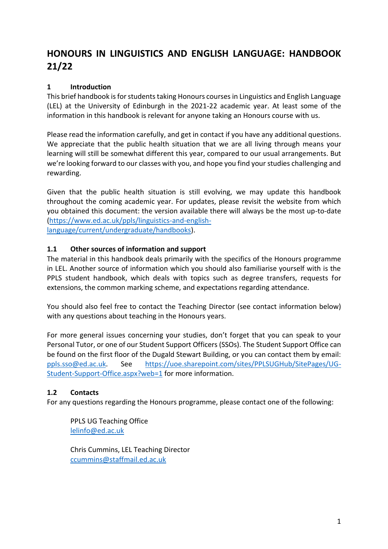# **HONOURS IN LINGUISTICS AND ENGLISH LANGUAGE: HANDBOOK 21/22**

#### **1 Introduction**

This brief handbook is for students taking Honours courses in Linguistics and English Language (LEL) at the University of Edinburgh in the 2021-22 academic year. At least some of the information in this handbook is relevant for anyone taking an Honours course with us.

Please read the information carefully, and get in contact if you have any additional questions. We appreciate that the public health situation that we are all living through means your learning will still be somewhat different this year, compared to our usual arrangements. But we're looking forward to our classes with you, and hope you find your studies challenging and rewarding.

Given that the public health situation is still evolving, we may update this handbook throughout the coming academic year. For updates, please revisit the website from which you obtained this document: the version available there will always be the most up-to-date [\(https://www.ed.ac.uk/ppls/linguistics-and-english](https://www.ed.ac.uk/ppls/linguistics-and-english-language/current/undergraduate/handbooks)[language/current/undergraduate/handbooks\)](https://www.ed.ac.uk/ppls/linguistics-and-english-language/current/undergraduate/handbooks).

#### **1.1 Other sources of information and support**

The material in this handbook deals primarily with the specifics of the Honours programme in LEL. Another source of information which you should also familiarise yourself with is the PPLS student handbook, which deals with topics such as degree transfers, requests for extensions, the common marking scheme, and expectations regarding attendance.

You should also feel free to contact the Teaching Director (see contact information below) with any questions about teaching in the Honours years.

For more general issues concerning your studies, don't forget that you can speak to your Personal Tutor, or one of our Student Support Officers (SSOs). The Student Support Office can be found on the first floor of the Dugald Stewart Building, or you can contact them by email: [ppls.sso@ed.ac.uk.](mailto:ppls.sso@ed.ac.uk) See [https://uoe.sharepoint.com/sites/PPLSUGHub/SitePages/UG-](https://uoe.sharepoint.com/sites/PPLSUGHub/SitePages/UG-Student-Support-Office.aspx?web=1)[Student-Support-Office.aspx?web=1](https://uoe.sharepoint.com/sites/PPLSUGHub/SitePages/UG-Student-Support-Office.aspx?web=1) for more information.

#### **1.2 Contacts**

For any questions regarding the Honours programme, please contact one of the following:

PPLS UG Teaching Office [lelinfo@ed.ac.uk](mailto:lelinfo@ed.ac.uk)

Chris Cummins, LEL Teaching Director [ccummins@staffmail.ed.ac.uk](mailto:ccummins@staffmail.ed.ac.uk)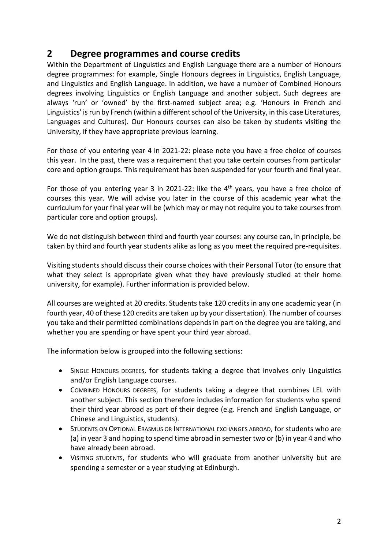### **2 Degree programmes and course credits**

Within the Department of Linguistics and English Language there are a number of Honours degree programmes: for example, Single Honours degrees in Linguistics, English Language, and Linguistics and English Language. In addition, we have a number of Combined Honours degrees involving Linguistics or English Language and another subject. Such degrees are always 'run' or 'owned' by the first-named subject area; e.g. 'Honours in French and Linguistics' is run by French (within a different school of the University, in this case Literatures, Languages and Cultures). Our Honours courses can also be taken by students visiting the University, if they have appropriate previous learning.

For those of you entering year 4 in 2021-22: please note you have a free choice of courses this year. In the past, there was a requirement that you take certain courses from particular core and option groups. This requirement has been suspended for your fourth and final year.

For those of you entering year 3 in 2021-22: like the 4<sup>th</sup> years, you have a free choice of courses this year. We will advise you later in the course of this academic year what the curriculum for your final year will be (which may or may not require you to take courses from particular core and option groups).

We do not distinguish between third and fourth year courses: any course can, in principle, be taken by third and fourth year students alike as long as you meet the required pre-requisites.

Visiting students should discuss their course choices with their Personal Tutor (to ensure that what they select is appropriate given what they have previously studied at their home university, for example). Further information is provided below.

All courses are weighted at 20 credits. Students take 120 credits in any one academic year (in fourth year, 40 of these 120 credits are taken up by your dissertation). The number of courses you take and their permitted combinations depends in part on the degree you are taking, and whether you are spending or have spent your third year abroad.

The information below is grouped into the following sections:

- SINGLE HONOURS DEGREES, for students taking a degree that involves only Linguistics and/or English Language courses.
- COMBINED HONOURS DEGREES, for students taking a degree that combines LEL with another subject. This section therefore includes information for students who spend their third year abroad as part of their degree (e.g. French and English Language, or Chinese and Linguistics, students).
- STUDENTS ON OPTIONAL ERASMUS OR INTERNATIONAL EXCHANGES ABROAD, for students who are (a) in year 3 and hoping to spend time abroad in semester two or (b) in year 4 and who have already been abroad.
- VISITING STUDENTS, for students who will graduate from another university but are spending a semester or a year studying at Edinburgh.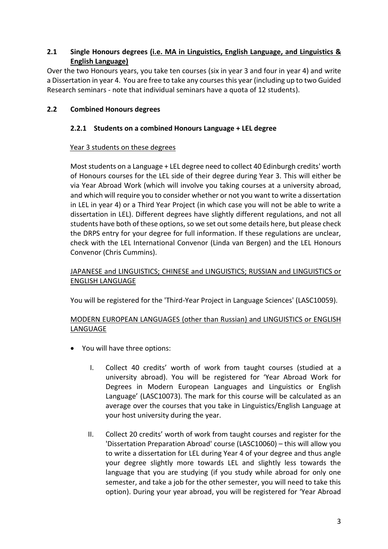#### **2.1 Single Honours degrees (i.e. MA in Linguistics, English Language, and Linguistics & English Language)**

Over the two Honours years, you take ten courses (six in year 3 and four in year 4) and write a Dissertation in year 4. You are free to take any courses this year (including up to two Guided Research seminars - note that individual seminars have a quota of 12 students).

#### **2.2 Combined Honours degrees**

#### **2.2.1 Students on a combined Honours Language + LEL degree**

#### Year 3 students on these degrees

Most students on a Language + LEL degree need to collect 40 Edinburgh credits' worth of Honours courses for the LEL side of their degree during Year 3. This will either be via Year Abroad Work (which will involve you taking courses at a university abroad, and which will require you to consider whether or not you want to write a dissertation in LEL in year 4) or a Third Year Project (in which case you will not be able to write a dissertation in LEL). Different degrees have slightly different regulations, and not all students have both of these options, so we set out some details here, but please check the DRPS entry for your degree for full information. If these regulations are unclear, check with the LEL International Convenor (Linda van Bergen) and the LEL Honours Convenor (Chris Cummins).

#### JAPANESE and LINGUISTICS; CHINESE and LINGUISTICS; RUSSIAN and LINGUISTICS or ENGLISH LANGUAGE

You will be registered for the 'Third-Year Project in Language Sciences' (LASC10059).

#### MODERN EUROPEAN LANGUAGES (other than Russian) and LINGUISTICS or ENGLISH LANGUAGE

- You will have three options:
	- I. Collect 40 credits' worth of work from taught courses (studied at a university abroad). You will be registered for 'Year Abroad Work for Degrees in Modern European Languages and Linguistics or English Language' (LASC10073). The mark for this course will be calculated as an average over the courses that you take in Linguistics/English Language at your host university during the year.
	- II. Collect 20 credits' worth of work from taught courses and register for the 'Dissertation Preparation Abroad' course (LASC10060) – this will allow you to write a dissertation for LEL during Year 4 of your degree and thus angle your degree slightly more towards LEL and slightly less towards the language that you are studying (if you study while abroad for only one semester, and take a job for the other semester, you will need to take this option). During your year abroad, you will be registered for 'Year Abroad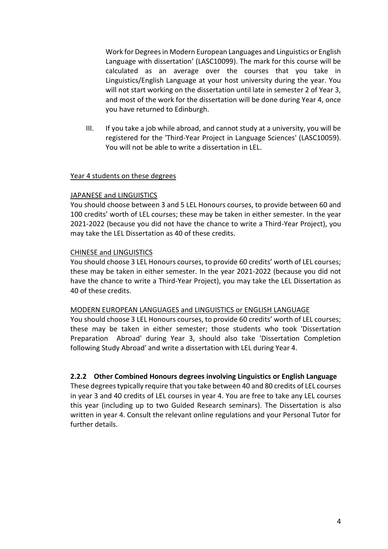Work for Degrees in Modern European Languages and Linguistics or English Language with dissertation' (LASC10099). The mark for this course will be calculated as an average over the courses that you take in Linguistics/English Language at your host university during the year. You will not start working on the dissertation until late in semester 2 of Year 3, and most of the work for the dissertation will be done during Year 4, once you have returned to Edinburgh.

III. If you take a job while abroad, and cannot study at a university, you will be registered for the 'Third-Year Project in Language Sciences' (LASC10059). You will not be able to write a dissertation in LEL.

#### Year 4 students on these degrees

#### JAPANESE and LINGUISTICS

You should choose between 3 and 5 LEL Honours courses, to provide between 60 and 100 credits' worth of LEL courses; these may be taken in either semester. In the year 2021-2022 (because you did not have the chance to write a Third-Year Project), you may take the LEL Dissertation as 40 of these credits.

#### CHINESE and LINGUISTICS

You should choose 3 LEL Honours courses, to provide 60 credits' worth of LEL courses; these may be taken in either semester. In the year 2021-2022 (because you did not have the chance to write a Third-Year Project), you may take the LEL Dissertation as 40 of these credits.

#### MODERN EUROPEAN LANGUAGES and LINGUISTICS or ENGLISH LANGUAGE

You should choose 3 LEL Honours courses, to provide 60 credits' worth of LEL courses; these may be taken in either semester; those students who took 'Dissertation Preparation Abroad' during Year 3, should also take 'Dissertation Completion following Study Abroad' and write a dissertation with LEL during Year 4.

#### **2.2.2 Other Combined Honours degrees involving Linguistics or English Language**

These degrees typically require that you take between 40 and 80 credits of LEL courses in year 3 and 40 credits of LEL courses in year 4. You are free to take any LEL courses this year (including up to two Guided Research seminars). The Dissertation is also written in year 4. Consult the relevant online regulations and your Personal Tutor for further details.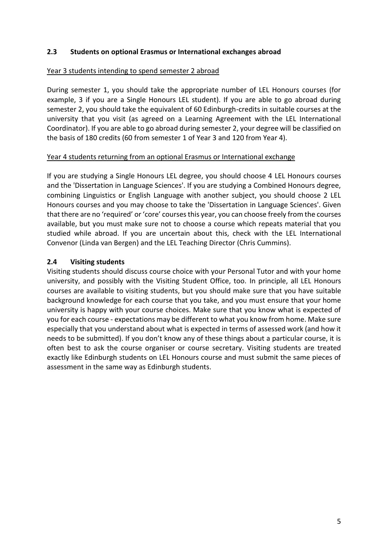#### **2.3 Students on optional Erasmus or International exchanges abroad**

#### Year 3 students intending to spend semester 2 abroad

During semester 1, you should take the appropriate number of LEL Honours courses (for example, 3 if you are a Single Honours LEL student). If you are able to go abroad during semester 2, you should take the equivalent of 60 Edinburgh-credits in suitable courses at the university that you visit (as agreed on a Learning Agreement with the LEL International Coordinator). If you are able to go abroad during semester 2, your degree will be classified on the basis of 180 credits (60 from semester 1 of Year 3 and 120 from Year 4).

#### Year 4 students returning from an optional Erasmus or International exchange

If you are studying a Single Honours LEL degree, you should choose 4 LEL Honours courses and the 'Dissertation in Language Sciences'. If you are studying a Combined Honours degree, combining Linguistics or English Language with another subject, you should choose 2 LEL Honours courses and you may choose to take the 'Dissertation in Language Sciences'. Given that there are no 'required' or 'core' courses this year, you can choose freely from the courses available, but you must make sure not to choose a course which repeats material that you studied while abroad. If you are uncertain about this, check with the LEL International Convenor (Linda van Bergen) and the LEL Teaching Director (Chris Cummins).

#### **2.4 Visiting students**

Visiting students should discuss course choice with your Personal Tutor and with your home university, and possibly with the Visiting Student Office, too. In principle, all LEL Honours courses are available to visiting students, but you should make sure that you have suitable background knowledge for each course that you take, and you must ensure that your home university is happy with your course choices. Make sure that you know what is expected of you for each course - expectations may be different to what you know from home. Make sure especially that you understand about what is expected in terms of assessed work (and how it needs to be submitted). If you don't know any of these things about a particular course, it is often best to ask the course organiser or course secretary. Visiting students are treated exactly like Edinburgh students on LEL Honours course and must submit the same pieces of assessment in the same way as Edinburgh students.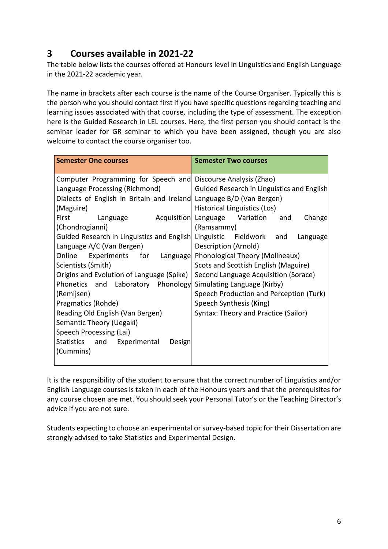## **3 Courses available in 2021-22**

The table below lists the courses offered at Honours level in Linguistics and English Language in the 2021-22 academic year.

The name in brackets after each course is the name of the Course Organiser. Typically this is the person who you should contact first if you have specific questions regarding teaching and learning issues associated with that course, including the type of assessment. The exception here is the Guided Research in LEL courses. Here, the first person you should contact is the seminar leader for GR seminar to which you have been assigned, though you are also welcome to contact the course organiser too.

| <b>Semester One courses</b>                                          | <b>Semester Two courses</b>                  |  |  |
|----------------------------------------------------------------------|----------------------------------------------|--|--|
|                                                                      |                                              |  |  |
| Computer Programming for Speech and Discourse Analysis (Zhao)        |                                              |  |  |
| Language Processing (Richmond)                                       | Guided Research in Linguistics and English   |  |  |
| Dialects of English in Britain and Ireland Language B/D (Van Bergen) |                                              |  |  |
| (Maguire)                                                            | Historical Linguistics (Los)                 |  |  |
| First<br>Language                                                    | Acquisition Language Variation and<br>Change |  |  |
| (Chondrogianni)                                                      | (Ramsammy)                                   |  |  |
| Guided Research in Linguistics and English Linguistic Fieldwork and  | Language                                     |  |  |
| Language A/C (Van Bergen)                                            | Description (Arnold)                         |  |  |
| Online Experiments for Language Phonological Theory (Molineaux)      |                                              |  |  |
| Scientists (Smith)                                                   | Scots and Scottish English (Maguire)         |  |  |
| Origins and Evolution of Language (Spike)                            | Second Language Acquisition (Sorace)         |  |  |
| Phonetics and Laboratory Phonology Simulating Language (Kirby)       |                                              |  |  |
| (Remijsen)                                                           | Speech Production and Perception (Turk)      |  |  |
| Pragmatics (Rohde)                                                   | Speech Synthesis (King)                      |  |  |
| Reading Old English (Van Bergen)                                     | Syntax: Theory and Practice (Sailor)         |  |  |
| Semantic Theory (Uegaki)                                             |                                              |  |  |
| Speech Processing (Lai)                                              |                                              |  |  |
| Statistics and Experimental<br>Design                                |                                              |  |  |
| (Cummins)                                                            |                                              |  |  |
|                                                                      |                                              |  |  |

It is the responsibility of the student to ensure that the correct number of Linguistics and/or English Language courses is taken in each of the Honours years and that the prerequisites for any course chosen are met. You should seek your Personal Tutor's or the Teaching Director's advice if you are not sure.

Students expecting to choose an experimental or survey-based topic for their Dissertation are strongly advised to take Statistics and Experimental Design.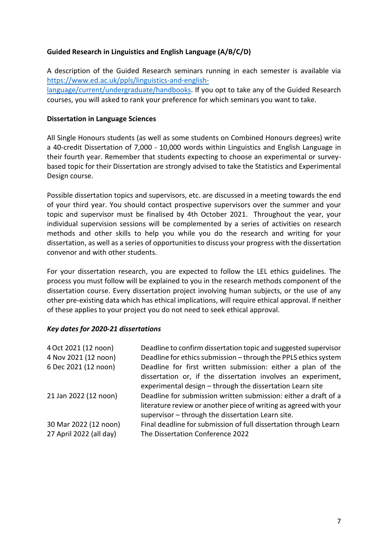#### **Guided Research in Linguistics and English Language (A/B/C/D)**

A description of the Guided Research seminars running in each semester is available via [https://www.ed.ac.uk/ppls/linguistics-and-english](https://www.ed.ac.uk/ppls/linguistics-and-english-language/current/undergraduate/handbooks)[language/current/undergraduate/handbooks.](https://www.ed.ac.uk/ppls/linguistics-and-english-language/current/undergraduate/handbooks) If you opt to take any of the Guided Research courses, you will asked to rank your preference for which seminars you want to take.

#### **Dissertation in Language Sciences**

All Single Honours students (as well as some students on Combined Honours degrees) write a 40-credit Dissertation of 7,000 - 10,000 words within Linguistics and English Language in their fourth year. Remember that students expecting to choose an experimental or surveybased topic for their Dissertation are strongly advised to take the Statistics and Experimental Design course.

Possible dissertation topics and supervisors, etc. are discussed in a meeting towards the end of your third year. You should contact prospective supervisors over the summer and your topic and supervisor must be finalised by 4th October 2021. Throughout the year, your individual supervision sessions will be complemented by a series of activities on research methods and other skills to help you while you do the research and writing for your dissertation, as well as a series of opportunities to discuss your progress with the dissertation convenor and with other students.

For your dissertation research, you are expected to follow the LEL ethics guidelines. The process you must follow will be explained to you in the research methods component of the dissertation course. Every dissertation project involving human subjects, or the use of any other pre-existing data which has ethical implications, will require ethical approval. If neither of these applies to your project you do not need to seek ethical approval.

#### *Key dates for 2020-21 dissertations*

| 4 Oct 2021 (12 noon)<br>4 Nov 2021 (12 noon)<br>6 Dec 2021 (12 noon) | Deadline to confirm dissertation topic and suggested supervisor<br>Deadline for ethics submission - through the PPLS ethics system<br>Deadline for first written submission: either a plan of the<br>dissertation or, if the dissertation involves an experiment,<br>experimental design - through the dissertation Learn site |
|----------------------------------------------------------------------|--------------------------------------------------------------------------------------------------------------------------------------------------------------------------------------------------------------------------------------------------------------------------------------------------------------------------------|
| 21 Jan 2022 (12 noon)                                                | Deadline for submission written submission: either a draft of a<br>literature review or another piece of writing as agreed with your<br>supervisor - through the dissertation Learn site.                                                                                                                                      |
| 30 Mar 2022 (12 noon)<br>27 April 2022 (all day)                     | Final deadline for submission of full dissertation through Learn<br>The Dissertation Conference 2022                                                                                                                                                                                                                           |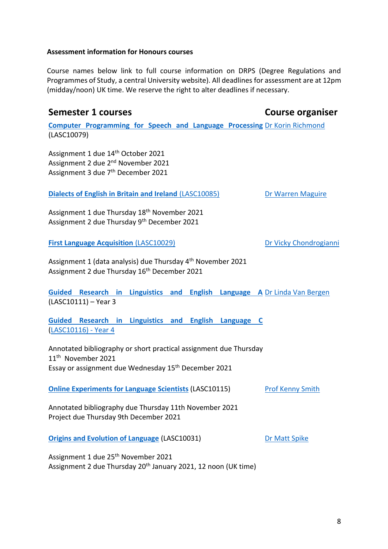#### **Assessment information for Honours courses**

Course names below link to full course information on DRPS (Degree Regulations and Programmes of Study, a central University website). All deadlines for assessment are at 12pm (midday/noon) UK time. We reserve the right to alter deadlines if necessary.

# **Semester 1 courses Course organiser [Computer Programming for Speech and Language](http://www.drps.ed.ac.uk/21-22/dpt/cxlasc10079.htm) Processing** [Dr Korin Richmond](https://www.ed.ac.uk/profile/korin-richmond) (LASC10079) Assignment 1 due 14<sup>th</sup> October 2021 Assignment 2 due 2<sup>nd</sup> November 2021 Assignment 3 due 7<sup>th</sup> December 2021 **Dialects [of English in Britain and Ireland](http://www.drps.ed.ac.uk/21-22/dpt/cxlasc10085.htm)** (LASC10085) Assignment 1 due Thursday 18th November 2021 Assignment 2 due Thursday 9<sup>th</sup> December 2021 [Dr Warren Maguire](https://www.ed.ac.uk/profile/warren-maguire) **[First Language Acquisition](http://www.drps.ed.ac.uk/21-22/dpt/cxlasc10029.htm) (LASC10029)** Assignment 1 (data analysis) due Thursday 4<sup>th</sup> November 2021 Assignment 2 due Thursday 16<sup>th</sup> December 2021 [Dr Vicky Chondrogianni](https://www.ed.ac.uk/profile/vicky-chondrogianni) **Guided [Research in Linguistics and English Language A](http://www.drps.ed.ac.uk/21-22/dpt/cxlasc10116.htm)** [Dr Linda Van Bergen](https://www.ed.ac.uk/profile/linda-van-bergen) [\(LASC10111\)](http://www.drps.ed.ac.uk/21-22/dpt/cxlasc10116.htm) – Year 3 **[Guided Research in Linguistics and English Language C](http://www.drps.ed.ac.uk/21-22/dpt/cxlasc10116.htm)**  [\(LASC10116\)](http://www.drps.ed.ac.uk/21-22/dpt/cxlasc10116.htm) - Year 4 Annotated bibliography or short practical assignment due Thursday 11th November 2021 Essay or assignment due Wednesday 15<sup>th</sup> December 2021 **[Online Experiments for Language Scientists](http://www.drps.ed.ac.uk/21-22/dpt/cxlasc10115.htm)** (LASC10115) [Prof Kenny Smith](https://www.ed.ac.uk/profile/kenny-smith)

Annotated bibliography due Thursday 11th November 2021 Project due Thursday 9th December 2021

**[Origins and Evolution of Language](http://www.drps.ed.ac.uk/21-22/dpt/cxlasc10031.htm)** (LASC10031)

[Dr Matt Spike](https://www.ed.ac.uk/profile/matthewspike)

Assignment 1 due 25th November 2021 Assignment 2 due Thursday 20<sup>th</sup> January 2021, 12 noon (UK time)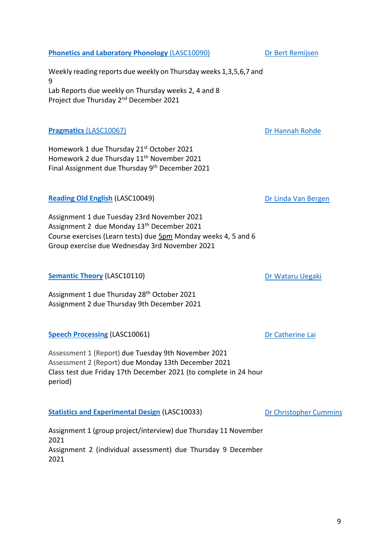[Dr Christopher Cummins](https://www.ed.ac.uk/profile/chris-cummins)

# 9

#### **[Phonetics and Laboratory Phonology](http://www.drps.ed.ac.uk/21-22/dpt/cxlasc10090.htm)** (LASC10090)

Weekly reading reports due weekly on Thursday weeks 1,3,5,6,7 and 9 Lab Reports due weekly on Thursday weeks 2, 4 and 8 Project due Thursday 2nd December 2021

#### **Pragmatics** [\(LASC10067\)](http://www.drps.ed.ac.uk/21-22/dpt/cxlasc10067.htm)

Homework 1 due Thursday 21<sup>st</sup> October 2021 Homework 2 due Thursday 11<sup>th</sup> November 2021 Final Assignment due Thursday 9th December 2021

#### **[Reading Old English](http://www.drps.ed.ac.uk/21-22/dpt/cxlasc10049.htm)** (LASC10049)

Assignment 1 due Tuesday 23rd November 2021 Assignment 2 due Monday 13th December 2021 Course exercises (Learn tests) due 5pm Monday weeks 4, 5 and 6 Group exercise due Wednesday 3rd November 2021

#### **[Semantic Theory](http://www.drps.ed.ac.uk/21-22/dpt/cxlasc10110.htm) (LASC10110)**

Assignment 1 due Thursday 28 th October 2021 Assignment 2 due Thursday 9th December 2021

#### **[Speech Processing](http://www.drps.ed.ac.uk/21-22/dpt/cxlasc10061.htm)** (LASC10061)

Assessment 1 (Report) due Tuesday 9th November 2021 Assessment 2 (Report) due Monday 13th December 2021 Class test due Friday 17th December 2021 (to complete in 24 hour period)

#### **[Statistics and Experimental Design](http://www.drps.ed.ac.uk/21-22/dpt/cxlasc10033.htm)** (LASC10033)

Assignment 1 (group project/interview) due Thursday 11 November 2021 Assignment 2 (individual assessment) due Thursday 9 December 2021

[Dr Wataru Uegaki](https://www.ed.ac.uk/profile/wataru-uegaki)

[Dr Catherine Lai](https://www.ed.ac.uk/profile/catherine-lai)

[Dr Hannah Rohde](https://www.ed.ac.uk/profile/hannah-rohde)

[Dr Linda Van Bergen](https://www.ed.ac.uk/profile/linda-van-bergen)

[Dr Bert Remijsen](https://www.ed.ac.uk/profile/bert-remijsen)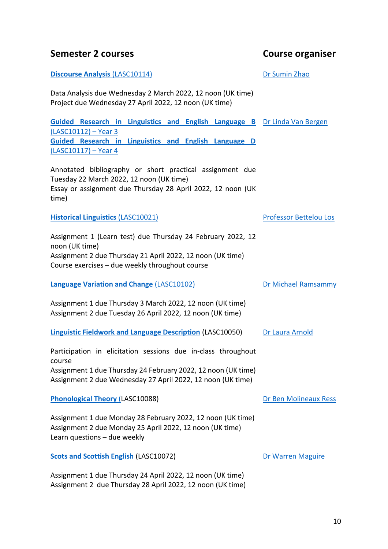#### **Semester 2 courses Course organiser**

#### **[Discourse Analysis](http://www.drps.ed.ac.uk/21-22/dpt/cxlasc10114.htm) (LASC10114)**

Data Analysis due Wednesday 2 March 2022, 12 noon (UK time) Project due Wednesday 27 April 2022, 12 noon (UK time)

**Guided Research in Linguistics and English Langua** [\(LASC10112\)](http://www.drps.ed.ac.uk/21-22/dpt/cxlasc10112.htm) – Year 3 **Guided Research in Linguistics and English Langua** [\(LASC10117\)](http://www.drps.ed.ac.uk/21-22/dpt/cxlasc10117.htm) – Year 4 [Dr Linda Van Bergen](https://www.ed.ac.uk/profile/linda-van-bergen)

Annotated bibliography or short practical assignment due Tuesday 22 March 2022, 12 noon (UK time) Essay or assignment due Thursday 28 April 2022, 12 noon (UK time)

**[Historical Linguistics](http://www.drps.ed.ac.uk/21-22/dpt/cxlasc10021.htm)** (LASC10021)

Assignment 1 (Learn test) due Thursday 24 February 2022, 12 noon (UK time) Assignment 2 due Thursday 21 April 2022, 12 noon (UK time) Course exercises – due weekly throughout course

**[Language Variation and Change](http://www.drps.ed.ac.uk/21-22/dpt/cxlasc10102.htm)** (LASC10102)

[Dr Michael Ramsammy](https://www.ed.ac.uk/profile/michael-ramsammy)

[Dr Ben](https://www.ed.ac.uk/profile/bert-remijsen) Molineaux Ress

[Dr Warren Maguire](https://www.ed.ac.uk/profile/warren-maguire)

[Professor Bettelou Los](https://www.ed.ac.uk/profile/bettelou-los)

Assignment 1 due Thursday 3 March 2022, 12 noon (UK time) Assignment 2 due Tuesday 26 April 2022, 12 noon (UK time)

**[Linguistic Fieldwork and Language Description](http://www.drps.ed.ac.uk/21-22/dpt/cxlasc10050.htm)** (LASC10050) [Dr Laura Arnold](https://www.ed.ac.uk/profile/laura-m-arnold)

Participation in elicitation sessions due in-class throughout course Assignment 1 due Thursday 24 February 2022, 12 noon (UK time) Assignment 2 due Wednesday 27 April 2022, 12 noon (UK time)

**[Phonological Theory](http://www.drps.ed.ac.uk/21-22/dpt/cxlasc10088.htm)** (LASC10088)

Assignment 1 due Monday 28 February 2022, 12 noon (UK time) Assignment 2 due Monday 25 April 2022, 12 noon (UK time) Learn questions – due weekly

**[Scots and Scottish English](http://www.drps.ed.ac.uk/21-22/dpt/cxlasc10072.htm)** (LASC10072)

Assignment 1 due Thursday 24 April 2022, 12 noon (UK time) Assignment 2 due Thursday 28 April 2022, 12 noon (UK time)

|      | ge B Dr Linda Van Bergen |
|------|--------------------------|
| ge D |                          |

[Dr Sumin Zhao](https://www.ed.ac.uk/profile/sumin-zhao)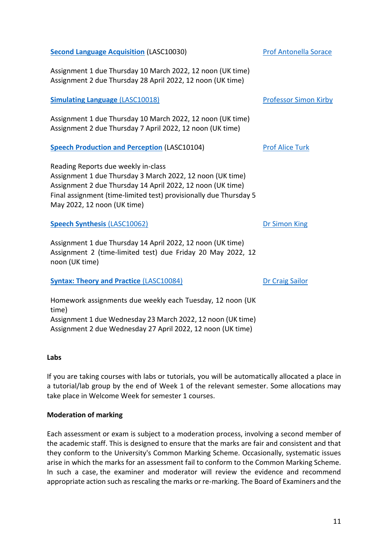11

# **[Simulating Language](http://www.drps.ed.ac.uk/20-21/dpt/cxlasc10018.htm)** (LASC10018) Assignment 1 due Thursday 10 March 2022, 12 noon (UK time) Assignment 2 due Thursday 7 April 2022, 12 noon (UK time) [Professor Simon Kirby](https://www.ed.ac.uk/profile/simon-kirby)

**[Speech Production and Perception](https://www.ed.ac.uk/profile/alice-turk)** (LASC10104)

Reading Reports due weekly in-class Assignment 1 due Thursday 3 March 2022, 12 noon (UK time) Assignment 2 due Thursday 14 April 2022, 12 noon (UK time) Final assignment (time-limited test) provisionally due Thursday 5 May 2022, 12 noon (UK time)

**[Speech Synthesis](http://www.drps.ed.ac.uk/21-22/dpt/cxlasc10062.htm)** (LASC10062)

Assignment 1 due Thursday 14 April 2022, 12 noon (UK time) Assignment 2 (time-limited test) due Friday 20 May 2022, 12 noon (UK time)

#### **[Syntax: Theory and Practice](http://www.drps.ed.ac.uk/21-22/dpt/cxlasc10084.htm)** (LASC10084)

Homework assignments due weekly each Tuesday, 12 noon (UK time) Assignment 1 due Wednesday 23 March 2022, 12 noon (UK time) Assignment 2 due Wednesday 27 April 2022, 12 noon (UK time)

#### **Labs**

If you are taking courses with labs or tutorials, you will be automatically allocated a place in a tutorial/lab group by the end of Week 1 of the relevant semester. Some allocations may take place in Welcome Week for semester 1 courses.

### **Moderation of marking**

Each assessment or exam is subject to a moderation process, involving a second member of the academic staff. This is designed to ensure that the marks are fair and consistent and that they conform to the University's Common Marking Scheme. Occasionally, systematic issues arise in which the marks for an assessment fail to conform to the Common Marking Scheme. In such a case, the examiner and moderator will review the evidence and recommend appropriate action such as rescaling the marks or re-marking. The Board of Examiners and the

[Dr Craig Sailor](https://www.ed.ac.uk/profile/craig-sailor)

[Dr Simon King](https://www.ed.ac.uk/profile/simon-king)

[Prof Alice Turk](https://www.ed.ac.uk/profile/alice-turk)

[Prof Antonella Sorace](https://www.ed.ac.uk/profile/antonella-sorace)

**[Second Language Acquisition](http://www.drps.ed.ac.uk/21-22/dpt/cxlasc10030.htm)** (LASC10030)

Assignment 1 due Thursday 10 March 2022, 12 noon (UK time) Assignment 2 due Thursday 28 April 2022, 12 noon (UK time)